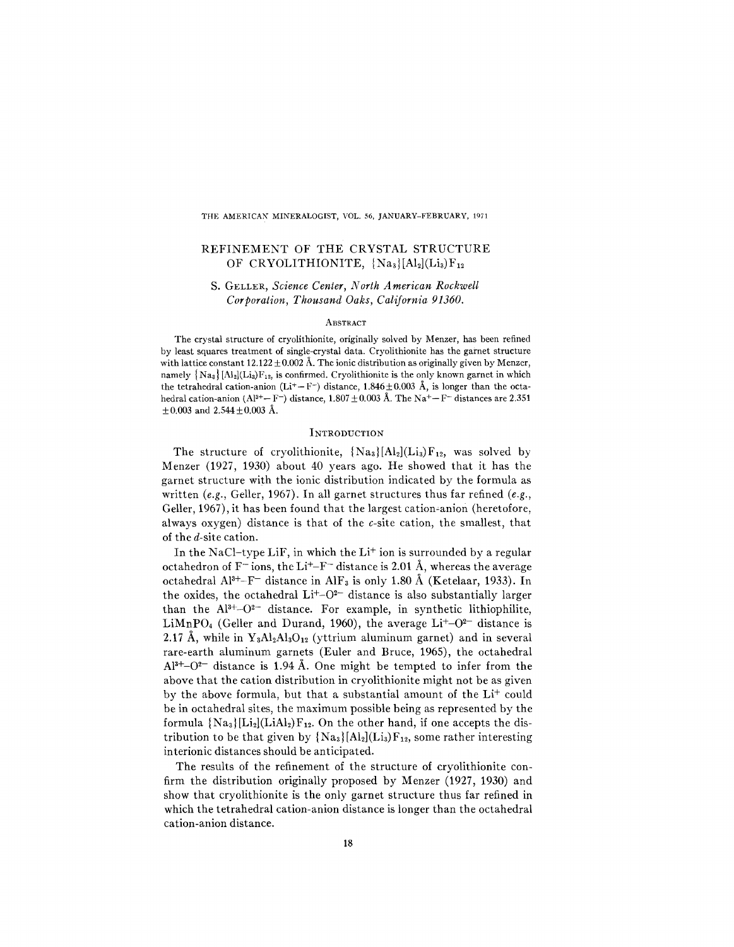THE AMERICAN MINERALOGIST, VOL. 56, JANUARY-FEBRUARY, 1971

# REFINEMENT OF THE CRYSTAL STRUCTURE OF CRYOLITHIONITE,  ${Na_3}[Al_2](Li_3)F_{12}$

# S. GELLER, *Science Center, North American Rockwell Corporation, Thousand Oaks, California 91360.*

### **ABSTRACT**

The crystal structure of cryolithionite, originally solved by Menzer, has been refined by least squares treatment of single-crystal data. Cryolithionite has the garnet structure with lattice constant  $12.122 \pm 0.002$  Å. The ionic distribution as originally given by Menzer, namely  ${N_a}_s$  [Al<sub>2</sub>](Li<sub>3</sub>)F<sub>12</sub>, is confirmed. Cryolithionite is the only known garnet in which the tetrahedral cation-anion (Li<sup>+</sup>-F<sup>-</sup>) distance, 1.846 $\pm$ 0.003 Å, is longer than the octahedral cation-anion (Al<sup>3+</sup>- F<sup>-</sup>) distance, 1.807  $\pm$  0.003 Å. The Na<sup>+</sup>- F<sup>-</sup> distances are 2.351  $\pm 0.003$  and  $2.544 \pm 0.003$  Å.

## **INTRODUCTION**

The structure of cryolithionite,  ${Na_3}[Al_2](Li_3)F_{12}$ , was solved by Menzer (1927, 1930) about 40 years ago. He showed that it has the garnet structure with the ionic distribution indicated by the formula as written *(e.g.,* Geller, 1967). In all garnet structures thus far refined *(e.g.,* Geller, 1967), it has been found that the largest cation-anion (heretofore, always oxygen) distance is that of the c-site cation, the smallest, that of the d-site cation.

In the NaCl-type LiF, in which the Li<sup>+</sup> ion is surrounded by a regular octahedron of  $F^-$  ions, the Li<sup>+</sup>-F<sup>-</sup> distance is 2.01 Å, whereas the average octahedral Al<sup>3+</sup>-F<sup>-</sup> distance in AlF<sub>3</sub> is only 1.80 Å (Ketelaar, 1933). In the oxides, the octahedral  $Li^{+}-O^{2-}$  distance is also substantially larger than the  $Al^{3+}-O^{2-}$  distance. For example, in synthetic lithiophilite,  $LimPO<sub>4</sub>$  (Geller and Durand, 1960), the average  $Li<sup>+</sup>-O<sup>2-</sup>$  distance is 2.17 Å, while in  $Y_3Al_2Al_3O_{12}$  (yttrium aluminum garnet) and in several rare-earth aluminum garnets (Euler and Bruce, 1965), the octahedral  $Al^{3+}-O^{2-}$  distance is 1.94 Å. One might be tempted to infer from the above that the cation distribution in cryolithionite might not be as given by the above formula, but that a substantial amount of the Li<sup>+</sup> could be in octahedral sites, the maximum possible being as represented by the formula  ${Na_3[Li_2](LiAl_2)F_{12}}$ . On the other hand, if one accepts the distribution to be that given by  ${Na_3}[Al_2](Li_3)F_{12}$ , some rather interesting interionic distances should be anticipated.

The results of the refinement of the structure of cryolithionite confirm the distribution originally proposed by Menzer (1927, 1930) and show that cryolithionite is the only garnet structure thus far refined in which the tetrahedral cation-anion distance is longer than the octahedral cation-anion distance.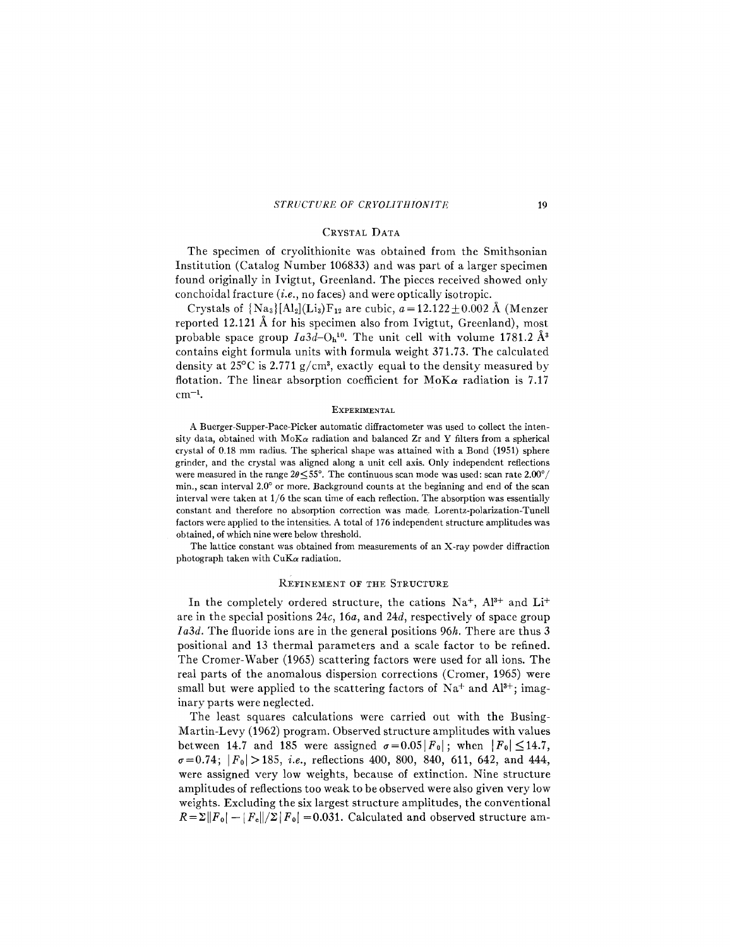#### STRUCTURE *OF CRYOLITHIONITE* 19

# CRYSTAL DATA

The specimen of cryolithionite was obtained from the Smithsonian Institution (Catalog Number 106833) and was part of a larger specimen found originally in Ivigtut, Greenland. The pieces received showed only conchoidal fracture *(i.e.,* no faces) and were optically isotropic.

Crystals of  ${Na_3}[Al_2](Li_3)F_{12}$  are cubic,  $a=12.122\pm0.002$  Å (Menzer reported 12.121 A for his specimen also from Ivigtut, Greenland), most probable space group  $Ia3d$ - $O<sub>h</sub>$ <sup>10</sup>. The unit cell with volume 1781.2  $\AA$ <sup>3</sup> contains eight formula units with formula weight 371.73. The calculated density at  $25^{\circ}$ C is  $2.771$  g/cm<sup>3</sup>, exactly equal to the density measured by flotation. The linear absorption coefficient for *MoKa* radiation is 7.17  $cm^{-1}$ .

#### EXPERIMENTAL

A Buerger-Supper-Pace-Picker automatic diffractometer was used to collect the intensity data, obtained with  $M\text{o}K\alpha$  radiation and balanced Zr and Y filters from a spherical crystal of 0.18 mm radius. The spherical shape was attained with a Bond (1951) sphere grinder, and the crystal was aligned along a unit cell axis. Only independent reflections were measured in the range  $2\theta \leq 55^{\circ}$ . The continuous scan mode was used: scan rate 2.00<sup>°</sup>/ min., scan interval 2.0° or more. Background counts at the beginning and end of the scan interval were taken at 1/6 the scan time of each reflection. The absorption was essentially constant and therefore no absorption correction was made. Lorentz-poJarization-Tunell factors were applied to the intensities. A total of 176 independent structure amplitudes was obtained, of which nine were below threshold.

The lattice constant was obtained from measurements of an X-ray powder diffraction photograph taken with *CuKa* radiation.

### REFINEMENT OF THE STRUCTURE

In the completely ordered structure, the cations  $Na^+$ ,  $Al^{3+}$  and  $Li^+$ are in the special positions *24c, 16a,* and *24d,* respectively of space group *I a3d.* The fluoride ions are in the general positions *96h.* There are thus 3 positional and 13 thermal parameters and a scale factor to be refined. The Cromer-Waber (1965) scattering factors were used for all ions. The real parts of the anomalous dispersion corrections (Cromer, 1965) were small but were applied to the scattering factors of  $Na^+$  and  $Al^{3+}$ ; imaginary parts were neglected.

The least squares calculations were carried out with the Busing-Martin-Levy (1962) program. Observed structure amplitudes with values between 14.7 and 185 were assigned  $\sigma = 0.05 |F_0|$ ; when  $|F_0| \le 14.7$ ,  $\sigma = 0.74$ ;  $|F_0| > 185$ , *i.e.*, reflections 400, 800, 840, 611, 642, and 444, were assigned very low weights, because of extinction. Nine structure amplitudes of reflections too weak to be observed were also given very low weights. Excluding the six largest structure amplitudes, the conventional  $R=\Sigma ||F_0| - |F_c||/\Sigma |F_0| = 0.031$ . Calculated and observed structure am-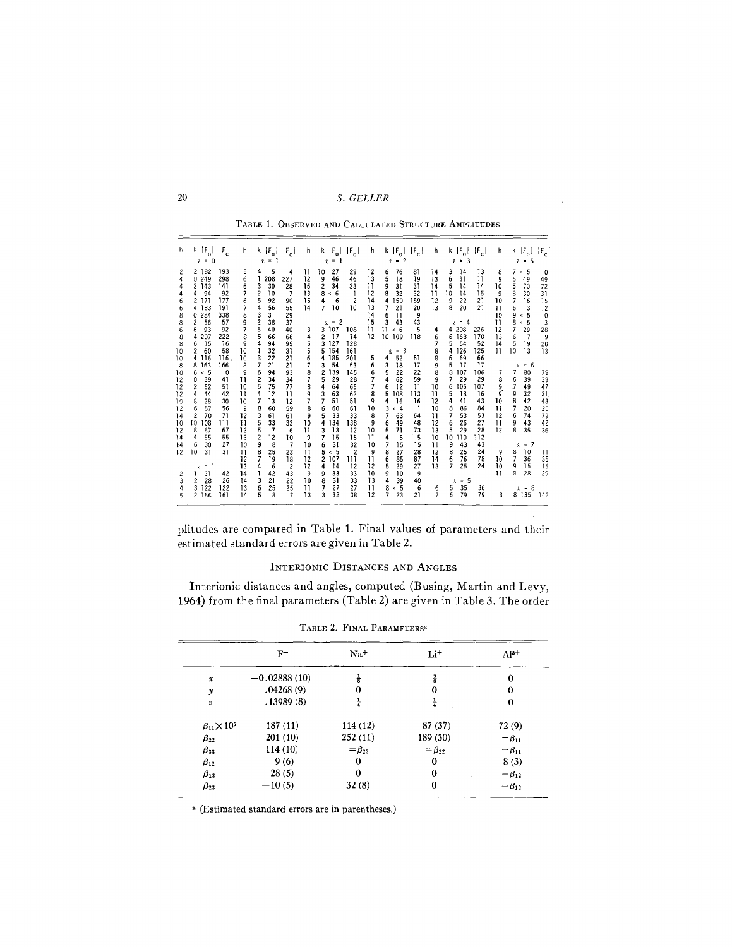# 20 S. GELLER

|  | TABLE 1. OBSERVED AND CALCULATED STRUCTURE AMPLITUDES |  |  |  |
|--|-------------------------------------------------------|--|--|--|
|--|-------------------------------------------------------|--|--|--|

| h                                                                                                                   | $k \mid F_0$<br>$ F_c $<br>$\lambda = 0$                                                                                                                                                                                                                                                                                                                                                                                                                                                                             | h                                                                                                                                                                                                     | k $ F_{0} $ $ F_{c} $<br>$\equiv$<br>9.                                                                                                                                                                                                                                                                                                                                                                                                                                                                                                                | $k  F_{0} $<br>ħ<br>Ŷ.                                                                                                                                                                                                                                                                                          | $ F_{c} $<br>$\equiv$                                                                                                                                                                                                                                                                                                                                            | h                                                                                                                                             | k $ F_{0} $ $ F_{c} $<br>$\overline{c}$<br>$x =$                                                                                                                                                                                                                                                                                                                                                                                                                                          | h                                                                                                                                                       | k $ F_0 $ $ F_c $<br>$= 3$<br>£                                                                                                                                                                                                                                                                                                                                                                                                                                                            | h                                                                                                                                 | $k \left  \mathbf{F_0} \right $<br>$\lvert \mathbb{F}_e \rvert$<br>5                                                                                                                                                                                                                                                                                                                                                                                                      |
|---------------------------------------------------------------------------------------------------------------------|----------------------------------------------------------------------------------------------------------------------------------------------------------------------------------------------------------------------------------------------------------------------------------------------------------------------------------------------------------------------------------------------------------------------------------------------------------------------------------------------------------------------|-------------------------------------------------------------------------------------------------------------------------------------------------------------------------------------------------------|--------------------------------------------------------------------------------------------------------------------------------------------------------------------------------------------------------------------------------------------------------------------------------------------------------------------------------------------------------------------------------------------------------------------------------------------------------------------------------------------------------------------------------------------------------|-----------------------------------------------------------------------------------------------------------------------------------------------------------------------------------------------------------------------------------------------------------------------------------------------------------------|------------------------------------------------------------------------------------------------------------------------------------------------------------------------------------------------------------------------------------------------------------------------------------------------------------------------------------------------------------------|-----------------------------------------------------------------------------------------------------------------------------------------------|-------------------------------------------------------------------------------------------------------------------------------------------------------------------------------------------------------------------------------------------------------------------------------------------------------------------------------------------------------------------------------------------------------------------------------------------------------------------------------------------|---------------------------------------------------------------------------------------------------------------------------------------------------------|--------------------------------------------------------------------------------------------------------------------------------------------------------------------------------------------------------------------------------------------------------------------------------------------------------------------------------------------------------------------------------------------------------------------------------------------------------------------------------------------|-----------------------------------------------------------------------------------------------------------------------------------|---------------------------------------------------------------------------------------------------------------------------------------------------------------------------------------------------------------------------------------------------------------------------------------------------------------------------------------------------------------------------------------------------------------------------------------------------------------------------|
| 6<br>8<br>8<br>6<br>8<br>8<br>10<br>10<br>8<br>10<br>12<br>12<br>12<br>10<br>12<br>14<br>10<br>12<br>14<br>14<br>12 | 193<br>2 182<br>298<br>0.249<br>2 143<br>141<br>94<br>92<br>4<br>171<br>177<br>$\overline{c}$<br>183<br>191<br>4<br>284<br>338<br>0<br>57<br>2<br>56<br>93<br>92<br>6<br>207<br>222<br>4<br>15<br>16<br>6<br>58<br>2<br>60<br>116<br>116<br>4<br>163<br>166<br>8<br>$\leq 5$<br>0<br>6<br>39<br>0<br>41<br>$\overline{c}$<br>51<br>52<br>42<br>4<br>44<br>8<br>28<br>30<br>6<br>57<br>56<br>2<br>70<br>71<br>10<br>108<br>ווו<br>8<br>67<br>67<br>4<br>55<br>55<br>6<br>30<br>27<br>10<br>31<br>31<br>$\epsilon = 1$ | 5<br>6<br>5<br>7<br>6<br>7<br>8<br>9<br>$\overline{\phantom{a}}$<br>8<br>9<br>10<br>10<br>8<br>9<br>$\overline{1}$<br>10<br>11<br>10<br>9<br>12<br>Ħ<br>12<br>13<br>10<br>$\overline{11}$<br>12<br>13 | 4<br>5<br>4<br>208<br>227<br>3<br>30<br>28<br>2<br>10<br>$\overline{7}$<br>5<br>92<br>90<br>4<br>56<br>55<br>3<br>31<br>29<br>$\overline{\mathbf{c}}$<br>38<br>37<br>6<br>40<br>40<br>5<br>66<br>66<br>4<br>94<br>95<br>32<br>31<br>ı<br>22<br>3<br>21<br>7<br>21<br>21<br>94<br>6<br>93<br>$\overline{c}$<br>34<br>34<br>5<br>75<br>77<br>12<br>4<br>11<br>7<br>13<br>12<br>8<br>60<br>59<br>3<br>61<br>61<br>6<br>33<br>33<br>5<br>7<br>6<br>2<br>12<br>10<br>9<br>8<br>$\overline{7}$<br>25<br>8<br>23<br>7<br>19<br>18<br>4<br>6<br>$\overline{c}$ | 11<br>10<br>12<br>9<br>15<br>2<br>13<br>8<br>15<br>4<br>7<br>14<br>3<br>3<br>4<br>2<br>5<br>3<br>5<br>5<br>6<br>4<br>7<br>3<br>8<br>$\mathfrak z$<br>7<br>5<br>8<br>4<br>3<br>9<br>7<br>7<br>8<br>6<br>5<br>9<br>10<br>4<br>Ħ<br>3<br>7<br>9<br>10<br>6<br>$\mathbf{1}$<br>5<br>$\overline{c}$<br>12<br>12<br>4 | 27<br>29<br>46<br>46<br>34<br>33<br>< 6<br>$\overline{c}$<br>6<br>10<br>10<br>$x = 2$<br>107<br>108<br>17<br>14<br>127<br>128<br>154<br>161<br>185<br>201<br>54<br>53<br>139<br>145<br>29<br>28<br>64<br>65<br>63<br>62<br>51<br>51<br>60<br>61<br>33<br>33<br>134<br>138<br>13<br>12<br>15<br>15<br>32<br>31<br>< 5<br>$\overline{c}$<br>107<br>ווו<br>14<br>12 | 12<br>13<br>n<br>12<br>14<br>13<br>14<br>15<br>11<br>12<br>5<br>6<br>6<br>7<br>7<br>8<br>9<br>10<br>8<br>9<br>10<br>11<br>10<br>9<br>11<br>12 | 76<br>81<br>6<br>5<br>19<br>18<br>31<br>31<br>9<br>8<br>32<br>32<br>150<br>4<br>159<br>21<br>7<br>20<br>6<br>11<br>9<br>3<br>43<br>43<br>11<br>< 6<br>5<br>10 109<br>118<br>$= 3$<br>£.<br>52<br>51<br>4<br>3<br>18<br>17<br>5<br>22<br>22<br>4<br>62<br>59<br>6<br>12<br>$\overline{11}$<br>5<br>108<br>113<br>16<br>16<br>4<br>3<br>$\leq 4$<br>1<br>7<br>63<br>64<br>6<br>49<br>48<br>5<br>73<br>71<br>4<br>5<br>5<br>7<br>15<br>15<br>8<br>27<br>28<br>6<br>85<br>87<br>5<br>29<br>27 | 14<br>13<br>14<br>Ħ<br>12<br>13<br>4<br>6<br>8<br>8<br>9<br>8<br>9<br>10<br>11<br>12<br>10<br>11<br>12<br>13<br>10<br>$\overline{11}$<br>12<br>14<br>13 | 13<br>3<br>14<br>6<br>11<br>11<br>5<br>14<br>14<br>10<br>14<br>15<br>22<br>21<br>9<br>8<br>20<br>21<br>$= 4$<br>208<br>226<br>4<br>168<br>170<br>6<br>5<br>54<br>52<br>125<br>126<br>4<br>69<br>66<br>6<br>5<br>17<br>17<br>8<br>107<br>106<br>29<br>29<br>7<br>106<br>107<br>6<br>18<br>16<br>5<br>43<br>4<br>41<br>8<br>86<br>84<br>53<br>53<br>7<br>26<br>27<br>6<br>29<br>28<br>5<br>10<br>110<br>112<br>43<br>43<br>9<br>25<br>24<br>8<br>76<br>78<br>6<br>$\overline{7}$<br>25<br>24 | 8<br>9<br>10<br>9<br>10<br>11<br>10<br>п<br>12<br>13<br>14<br>11<br>7<br>8<br>9<br>9<br>10<br>п<br>12<br>n<br>12<br>9<br>10<br>10 | $\leq$ 5<br>0<br>6<br>49<br>49<br>5<br>72<br>70<br>8<br>30<br>31<br>7<br>16<br>15<br>13<br>12<br>6<br>9<br>< 5<br>0<br>8<br>3<br>$\leq 5$<br>$\overline{7}$<br>29<br>28<br>6<br>$\overline{\phantom{a}}$<br>9<br>19<br>5<br>20<br>13<br>13<br>10<br>$= 6$<br>l<br>80<br>79<br>39<br>39<br>6<br>47<br>49<br>32<br>9<br>31<br>8<br>42<br>43<br>20<br>7<br>20<br>74<br>6<br>79<br>43<br>9<br>42<br>35<br>36<br>$= 7$<br>l<br>8<br>10<br>11<br>7<br>36<br>35<br>15<br>15<br>9 |
| 2<br>3<br>5                                                                                                         | 42<br>31<br>$\overline{c}$<br>28<br>26<br>122<br>122<br>3<br>161<br>2.156                                                                                                                                                                                                                                                                                                                                                                                                                                            | 14<br>14<br>13<br>14                                                                                                                                                                                  | 42<br>ı<br>43<br>21<br>3<br>22<br>6<br>25<br>25<br>5<br>8<br>7                                                                                                                                                                                                                                                                                                                                                                                                                                                                                         | 9<br>9<br>10<br>8<br>π<br>7<br>13<br>3                                                                                                                                                                                                                                                                          | 33<br>33<br>31<br>33<br>27<br>27<br>38<br>38                                                                                                                                                                                                                                                                                                                     | 10<br>13<br>11<br>12                                                                                                                          | 9<br>10<br>9<br>4<br>39<br>40<br>$\leq 5$<br>6<br>8<br>7<br>23<br>21                                                                                                                                                                                                                                                                                                                                                                                                                      | 6<br>$\overline{7}$                                                                                                                                     | $= 5$<br>Q.<br>35<br>36<br>5<br>79<br>79<br>6                                                                                                                                                                                                                                                                                                                                                                                                                                              | $\overline{11}$<br>a                                                                                                              | 8<br>28<br>29<br>$= 8$<br>Ŷ.<br>8 135<br>142                                                                                                                                                                                                                                                                                                                                                                                                                              |

plitudes are compared in Table 1. Final values of parameters and their estimated standard errors are given in Table 2.  $\bar{z}$ 

# INTERIONIC DISTANCES AND ANGLES

lnterionic distances and angles, computed (Busing, Martin and Levy, 1964) from the final parameters (Table 2) are given in Table 3. The order

|                          | $F^-$          | $Na+$         | $Li+$         | $Al^{3+}$     |
|--------------------------|----------------|---------------|---------------|---------------|
| $\pmb{\mathcal{X}}$      | $-0.02888(10)$ | $\frac{1}{8}$ | $\frac{3}{8}$ | 0             |
| $\mathcal{Y}$            | .04268(9)      | $\theta$      | 0             | 0             |
| $\boldsymbol{z}$         | .13989(8)      | $\frac{1}{4}$ | $\frac{1}{4}$ | 0             |
| $\beta_{11} \times 10^5$ | 187(11)        | 114(12)       | 87(37)        | 72(9)         |
| $\beta_{22}$             | 201 (10)       | 252(11)       | 189(30)       | $=\beta_{11}$ |
| $\beta_{33}$             | 114(10)        | $=\beta_{22}$ | $=\beta_{22}$ | $=\beta_{11}$ |
| $\beta_{12}$             | 9(6)           | $\Omega$      | 0             | 8(3)          |
| $\beta_{13}$             | 28(5)          | 0             | 0             | $=\beta_{12}$ |
| $\beta_{23}$             | $-10(5)$       | 32(8)         | 0             | $=\beta_{12}$ |

TABLE 2. FINAL PARAMETERS<sup>a</sup>

. (Estimated standard errors are in parentheses.)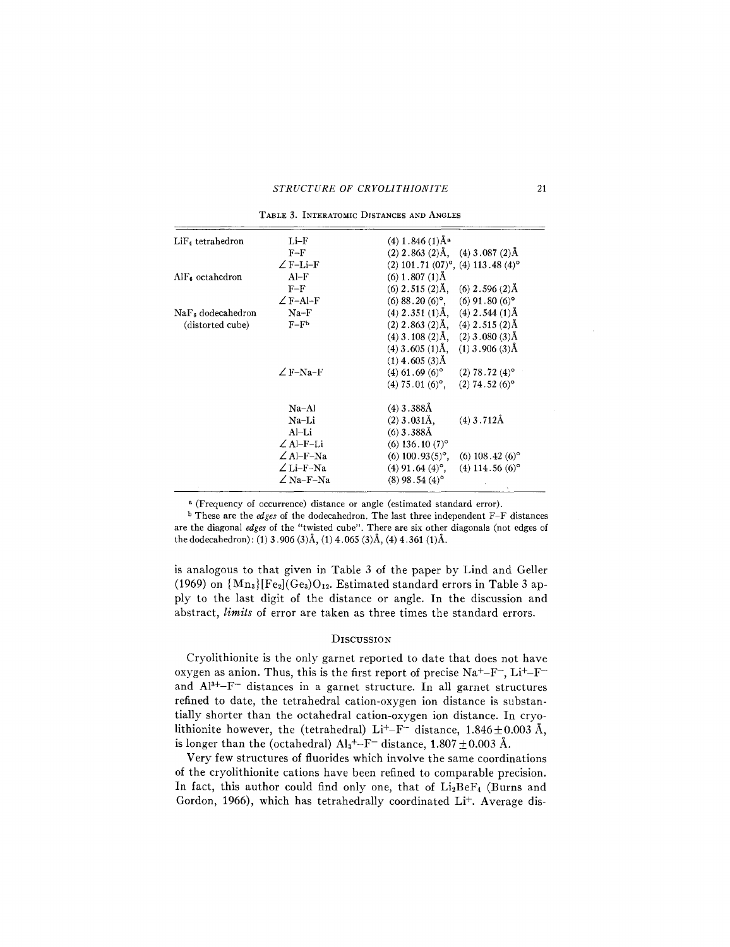### STRUCTURE OF CRYOLITHIONITE 21

| LiF <sub>4</sub> tetrahedron  | $Li-F$           | $(4)$ 1.846 $(1)$ Å <sup>a</sup>                        |
|-------------------------------|------------------|---------------------------------------------------------|
|                               | $F-F$            | $(2)$ 2.863 $(2)$ Å, $(4)$ 3.087 $(2)$ Å                |
|                               | $\angle$ F-Li-F  | $(2)$ 101.71 $(07)$ °, $(4)$ 113.48 $(4)$ °             |
| $\text{AlF}_6$ octahedron     | $Al-F$           | $(6)$ 1.807 $(1)$ Å                                     |
|                               | $F-F$            | $(6)$ 2.515 $(2)$ Å, $(6)$ 2.596 $(2)$ Å                |
|                               | $\angle$ F-Al-F  | $(6)$ 88.20 $(6)$ °, $(6)$ 91.80 $(6)$ °                |
| NaF <sub>s</sub> dodecahedron | $Na-F$           | $(4)$ 2.351 $(1)$ Å, $(4)$ 2.544 $(1)$ Å                |
| (distorted cube)              | $F-Fb$           | $(2)$ 2.863 $(2)$ Å, $(4)$ 2.515 $(2)$ Å                |
|                               |                  | $(4)$ 3.108 $(2)$ Å, $(2)$ 3.080 $(3)$ Å                |
|                               |                  | $(4)$ 3.605 $(1)$ Å, $(1)$ 3.906 $(3)$ Å                |
|                               |                  | $(1)$ 4.605 $(3)$ Å                                     |
|                               | $\angle$ F-Na-F  | $(4)$ 61.69 (6) <sup>o</sup> (2) 78.72 (4) <sup>o</sup> |
|                               |                  | $(4) 75.01 (6)°$ , $(2) 74.52 (6)°$                     |
|                               | $Na-Al$          | $(4)$ 3.388Å                                            |
|                               | Na-Li            | $(2)$ 3.031Å.<br>$(4)$ 3.712Å                           |
|                               | Al–Li            | $(6)$ 3.388Å                                            |
|                               | $\angle$ Al-F-Li | $(6)$ 136.10 $(7)$ °                                    |
|                               | $\angle$ Al-F-Na | $(6)$ 100.93 $(5)$ °,<br>$(6)$ 108.42 $(6)$ °           |
|                               | $\angle$ Li-F-Na | $(4)$ 91.64 $(4)$ °,<br>$(4)$ 114.56 $(6)$ <sup>o</sup> |
|                               | $\angle$ Na-F-Na | $(8)$ 98.54 $(4)$ °                                     |

TABLE 3. INTERATOMIC DISTANCES AND ANGLES

a (Frequency of occurrence) distance or angle (estimated standard error).

<sup>b</sup> These are the *edges* of the dodecahedron. The last three independent F-F distances are the diagonal *edges* of the "twisted cube". There are six other diagonals (not edges of the dodecahedron): (1) 3.906 *(3)A.,* (1) 4.065 *(3)A.,* (4) 4.361 *(1)A..*

is analogous to that given in Table 3 of the paper by Lind and Geller (1969) on  ${Mn_3}$ [Fe<sub>2</sub>](Ge<sub>3</sub>)O<sub>12</sub>. Estimated standard errors in Table 3 apply to the last digit of the distance or angle. In the discussion and abstract, *limits* of error are taken as three times the standard errors.

## **DISCUSSION**

Cryolithionite is the only garnet reported to date that does not have oxygen as anion. Thus, this is the first report of precise  $Na<sup>+</sup>-F<sup>-</sup>$ ,  $Li<sup>+</sup>-F$ and Al<sup>3+</sup>-F<sup>-</sup> distances in a garnet structure. In all garnet structures refined to date, the tetrahedral cation-oxygen ion distance is substantially shorter than the octahedral cation-oxygen ion distance. In cryolithionite however, the (tetrahedral) Li<sup>+</sup>-F<sup>-</sup> distance,  $1.846 \pm 0.003$  Å, is longer than the (octahedral)  $Al_3^{\dagger}$ -F<sup>-</sup> distance, 1.807  $\pm$  0.003 Å.

Very few structures of fluorides which involve the same coordinations of the cryolithionite cations have been refined to comparable precision. In fact, this author could find only one, that of  $Li<sub>2</sub>BeF<sub>4</sub>$  (Burns and Gordon, 1966), which has tetrahedrally coordinated Li+. Average dis-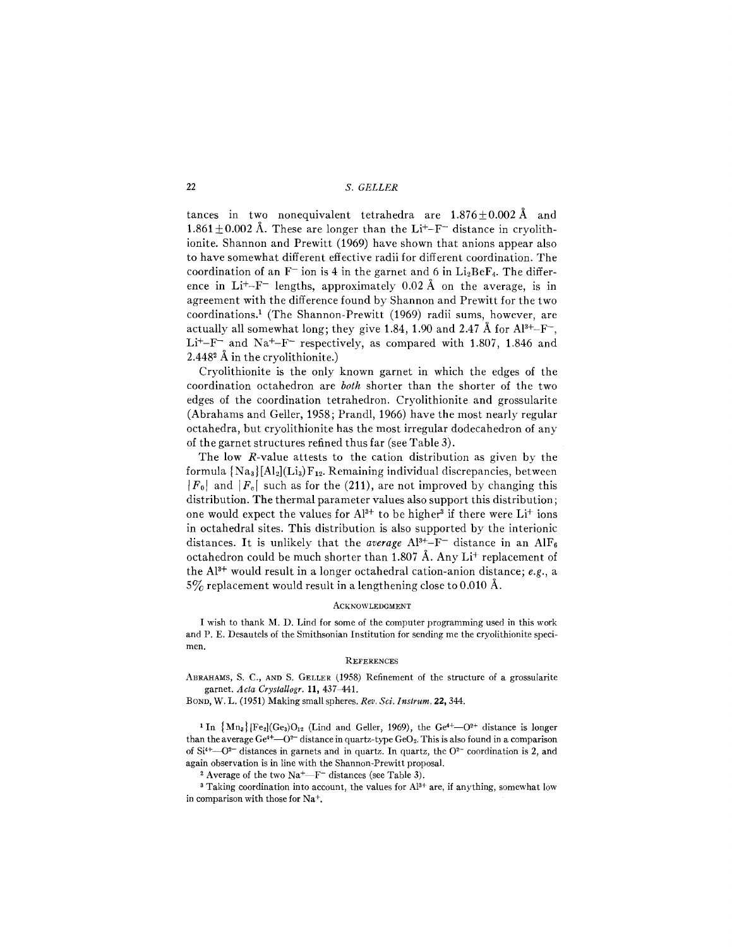## 22 S. GELLER

tances in two nonequivalent tetrahedra are  $1.876 \pm 0.002$  Å and 1.861  $\pm$  0.002 Å. These are longer than the Li<sup>+</sup>-F<sup>--</sup> distance in cryolithionite. Shannon and Prewitt (1969) have shown that anions appear also to have somewhat different effective radii for different coordination. The coordination of an  $F^-$  ion is 4 in the garnet and 6 in  $Li_2BeF_4$ . The difference in Li<sup>+</sup>-F<sup>-</sup> lengths, approximately 0.02  $\AA$  on the average, is in agreement with the difference found by Shannon and Prewitt for the two coordinations.1 (The Shannon-Prewitt (1969) radii sums, however, are actually all somewhat long; they give 1.84, 1.90 and 2.47 Å for  $Al^{3+}-F^-$ .  $Li<sup>+</sup>-F<sup>-</sup>$  and Na<sup>+</sup>-F<sup>-</sup> respectively, as compared with 1.807, 1.846 and 2.448 $^{\circ}$  Å in the cryolithionite.)

Cryolithionite is the only known garnet in which the edges of the coordination octahedron are *both* shorter than the shorter of the two edges of the coordination tetrahedron. Cryolithionite and grossularite (Abrahams and Geller, 1958; Prandl, 1966) have the most nearly regular octahedra, but cryolithionite has the most irregular dodecahedron of any of the garnet structures refined thus far (see Table 3).

The low R-value attests to the cation distribution as given by the formula  ${Na_3}[Al_2](Li_3)F_{12}$ . Remaining individual discrepancies, between  $|F_0|$  and  $|F_c|$  such as for the (211), are not improved by changing this distribution. The thermal parameter values also support this distribution; one would expect the values for  $Al^{3+}$  to be higher<sup>3</sup> if there were Li<sup>+</sup> ions in octahedral sites. This distribution is also supported by the interionic distances. It is unlikely that the *average*  $Al^{3+}-F^-$  distance in an  $AlF_6$ octahedron could be much shorter than 1.807 Å. Any  $Li^{+}$  replacement of the AP+ would result in a longer octahedral cation-anion distance; *e.g.,* a  $5\%$  replacement would result in a lengthening close to 0.010 Å.

#### **ACKNOWLEDGMENT**

I wish to thank M. D. Lind for some of the computer programming used in this work and P. E. Desautels of the Smithsonian Institution for sending me the cryolithionite specimen.

#### **REFERENCES**

ABRAHAMS, S. C., AND S. GELLER (1958) Refinement of the structure of a grossularite garnet. *Acta Crystaltogr.* 11,437-441.

BOND, W. L. (1951) Making small spheres. *Rev. Sci. Instrum.* 22, 344.

<sup>1</sup> In  $\{Mn_a\}$ [Fe<sub>2</sub>](Ge<sub>3</sub>)O<sub>12</sub> (Lind and Geller, 1969), the Ge<sup>4+</sup>-0<sup>2+</sup> distance is longer than the average Ge<sup>4+</sup> $-0$ <sup>2-</sup> distance in quartz-type GeO<sub>2</sub>. This is also found in a comparison of  $Si<sup>4+</sup>$ -0<sup>2-</sup> distances in garnets and in quartz. In quartz, the 0<sup>2-</sup> coordination is 2, and again observation is in line with the Shannon-Prewitt proposal.

<sup>2</sup> Average of the two  $Na^{+}$ -F<sup>-</sup> distances (see Table 3).

<sup>3</sup> Taking coordination into account, the values for  $Al^{3+}$  are, if anything, somewhat low in comparison with those for Na+.